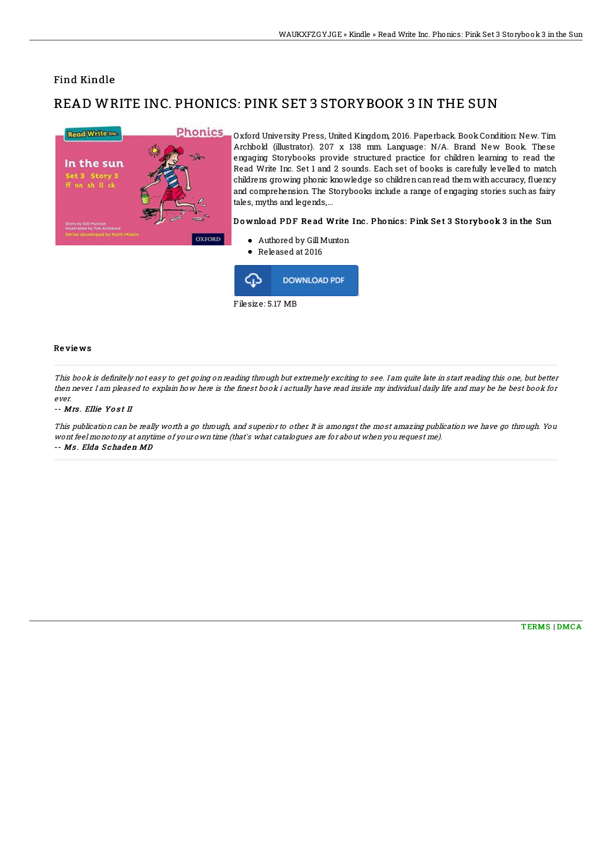## Find Kindle

# READ WRITE INC. PHONICS: PINK SET 3 STORYBOOK 3 IN THE SUN



Oxford University Press, United Kingdom, 2016. Paperback. BookCondition: New. Tim Archbold (illustrator). 207 x 138 mm. Language: N/A. Brand New Book. These engaging Storybooks provide structured practice for children learning to read the Read Write Inc. Set 1 and 2 sounds. Each set of books is carefully levelled to match childrens growing phonic knowledge so children can read them with accuracy, fluency and comprehension. The Storybooks include a range of engaging stories such as fairy tales, myths and legends,...

### Download PDF Read Write Inc. Phonics: Pink Set 3 Storybook 3 in the Sun

- Authored by GillMunton
- Released at 2016



#### Re vie ws

This book is definitely not easy to get going on reading through but extremely exciting to see. I am quite late in start reading this one, but better then never. I am pleased to explain how here is the Anest book i actually have read inside my individual daily life and may be he best book for ever.

#### -- Mrs. Ellie Yost II

This publication can be really worth <sup>a</sup> go through, and superior to other. It is amongst the most amazing publication we have go through. You wont feel monotony at anytime of your own time (that's what catalogues are for about when you request me). -- Ms . Elda S chaden MD